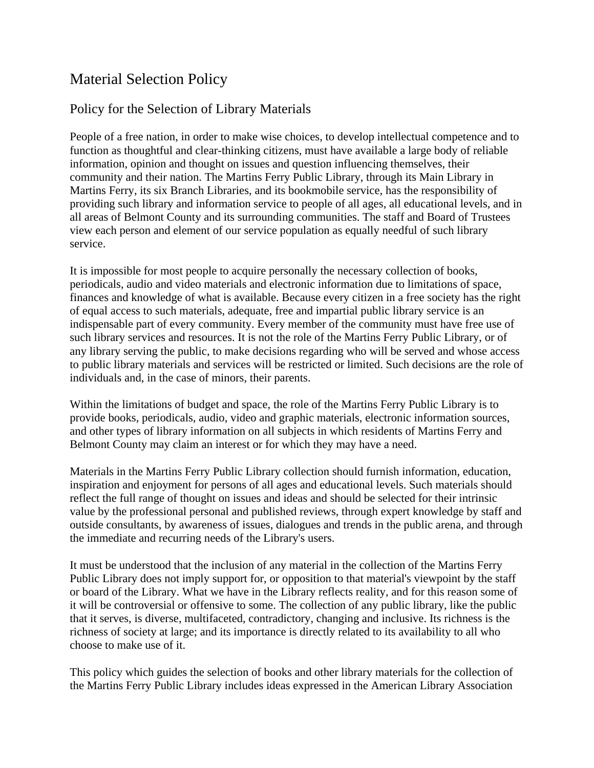## Material Selection Policy

## Policy for the Selection of Library Materials

People of a free nation, in order to make wise choices, to develop intellectual competence and to function as thoughtful and clear-thinking citizens, must have available a large body of reliable information, opinion and thought on issues and question influencing themselves, their community and their nation. The Martins Ferry Public Library, through its Main Library in Martins Ferry, its six Branch Libraries, and its bookmobile service, has the responsibility of providing such library and information service to people of all ages, all educational levels, and in all areas of Belmont County and its surrounding communities. The staff and Board of Trustees view each person and element of our service population as equally needful of such library service.

It is impossible for most people to acquire personally the necessary collection of books, periodicals, audio and video materials and electronic information due to limitations of space, finances and knowledge of what is available. Because every citizen in a free society has the right of equal access to such materials, adequate, free and impartial public library service is an indispensable part of every community. Every member of the community must have free use of such library services and resources. It is not the role of the Martins Ferry Public Library, or of any library serving the public, to make decisions regarding who will be served and whose access to public library materials and services will be restricted or limited. Such decisions are the role of individuals and, in the case of minors, their parents.

Within the limitations of budget and space, the role of the Martins Ferry Public Library is to provide books, periodicals, audio, video and graphic materials, electronic information sources, and other types of library information on all subjects in which residents of Martins Ferry and Belmont County may claim an interest or for which they may have a need.

Materials in the Martins Ferry Public Library collection should furnish information, education, inspiration and enjoyment for persons of all ages and educational levels. Such materials should reflect the full range of thought on issues and ideas and should be selected for their intrinsic value by the professional personal and published reviews, through expert knowledge by staff and outside consultants, by awareness of issues, dialogues and trends in the public arena, and through the immediate and recurring needs of the Library's users.

It must be understood that the inclusion of any material in the collection of the Martins Ferry Public Library does not imply support for, or opposition to that material's viewpoint by the staff or board of the Library. What we have in the Library reflects reality, and for this reason some of it will be controversial or offensive to some. The collection of any public library, like the public that it serves, is diverse, multifaceted, contradictory, changing and inclusive. Its richness is the richness of society at large; and its importance is directly related to its availability to all who choose to make use of it.

This policy which guides the selection of books and other library materials for the collection of the Martins Ferry Public Library includes ideas expressed in the American Library Association